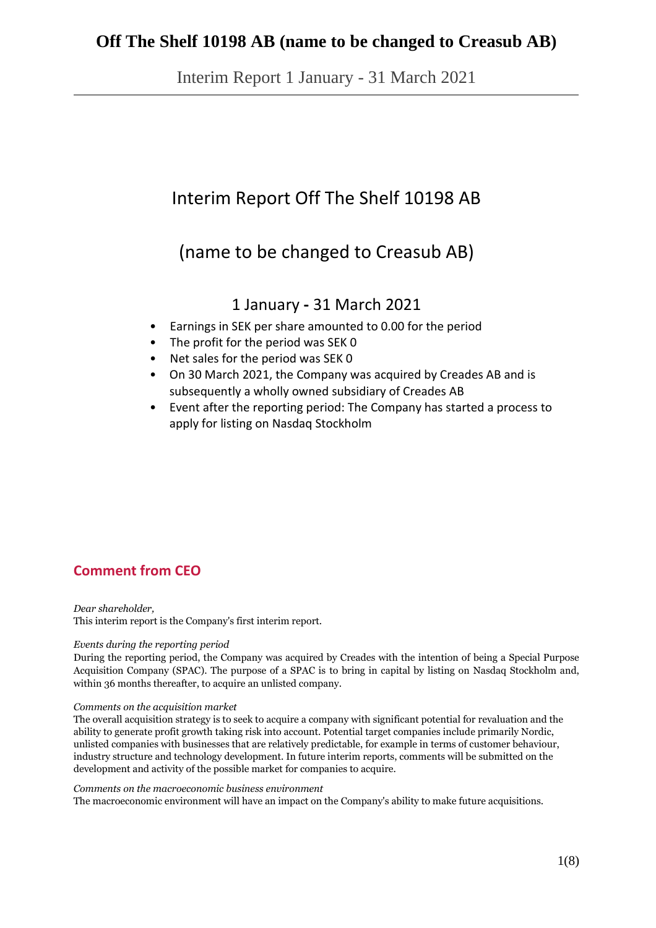Interim Report 1 January - 31 March 2021

# Interim Report Off The Shelf 10198 AB

# (name to be changed to Creasub AB)

## 1 January **-** 31 March 2021

- Earnings in SEK per share amounted to 0.00 for the period
- The profit for the period was SEK 0
- Net sales for the period was SEK 0
- On 30 March 2021, the Company was acquired by Creades AB and is subsequently a wholly owned subsidiary of Creades AB
- Event after the reporting period: The Company has started a process to apply for listing on Nasdaq Stockholm

# **Comment from CEO**

*Dear shareholder,* This interim report is the Company's first interim report.

#### *Events during the reporting period*

During the reporting period, the Company was acquired by Creades with the intention of being a Special Purpose Acquisition Company (SPAC). The purpose of a SPAC is to bring in capital by listing on Nasdaq Stockholm and, within 36 months thereafter, to acquire an unlisted company.

#### *Comments on the acquisition market*

The overall acquisition strategy is to seek to acquire a company with significant potential for revaluation and the ability to generate profit growth taking risk into account. Potential target companies include primarily Nordic, unlisted companies with businesses that are relatively predictable, for example in terms of customer behaviour, industry structure and technology development. In future interim reports, comments will be submitted on the development and activity of the possible market for companies to acquire.

#### *Comments on the macroeconomic business environment*

The macroeconomic environment will have an impact on the Company's ability to make future acquisitions.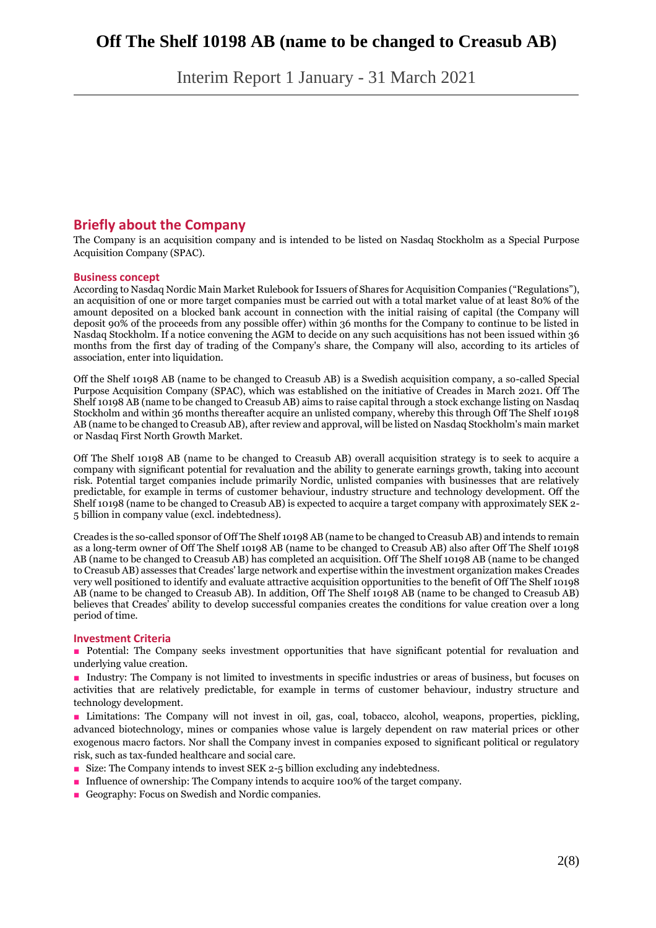Interim Report 1 January - 31 March 2021

## **Briefly about the Company**

The Company is an acquisition company and is intended to be listed on Nasdaq Stockholm as a Special Purpose Acquisition Company (SPAC).

#### **Business concept**

According to Nasdaq Nordic Main Market Rulebook for Issuers of Shares for Acquisition Companies ("Regulations"), an acquisition of one or more target companies must be carried out with a total market value of at least 80% of the amount deposited on a blocked bank account in connection with the initial raising of capital (the Company will deposit 90% of the proceeds from any possible offer) within 36 months for the Company to continue to be listed in Nasdaq Stockholm. If a notice convening the AGM to decide on any such acquisitions has not been issued within 36 months from the first day of trading of the Company's share, the Company will also, according to its articles of association, enter into liquidation.

Off the Shelf 10198 AB (name to be changed to Creasub AB) is a Swedish acquisition company, a so-called Special Purpose Acquisition Company (SPAC), which was established on the initiative of Creades in March 2021. Off The Shelf 10198 AB (name to be changed to Creasub AB) aims to raise capital through a stock exchange listing on Nasdaq Stockholm and within 36 months thereafter acquire an unlisted company, whereby this through Off The Shelf 10198 AB (name to be changed to Creasub AB), after review and approval, will be listed on Nasdaq Stockholm's main market or Nasdaq First North Growth Market.

Off The Shelf 10198 AB (name to be changed to Creasub AB) overall acquisition strategy is to seek to acquire a company with significant potential for revaluation and the ability to generate earnings growth, taking into account risk. Potential target companies include primarily Nordic, unlisted companies with businesses that are relatively predictable, for example in terms of customer behaviour, industry structure and technology development. Off the Shelf 10198 (name to be changed to Creasub AB) is expected to acquire a target company with approximately SEK 2- 5 billion in company value (excl. indebtedness).

Creades is the so-called sponsor of Off The Shelf 10198 AB (name to be changed to Creasub AB) and intends to remain as a long-term owner of Off The Shelf 10198 AB (name to be changed to Creasub AB) also after Off The Shelf 10198 AB (name to be changed to Creasub AB) has completed an acquisition. Off The Shelf 10198 AB (name to be changed to Creasub AB) assesses that Creades' large network and expertise within the investment organization makes Creades very well positioned to identify and evaluate attractive acquisition opportunities to the benefit of Off The Shelf 10198 AB (name to be changed to Creasub AB). In addition, Off The Shelf 10198 AB (name to be changed to Creasub AB) believes that Creades' ability to develop successful companies creates the conditions for value creation over a long period of time.

#### **Investment Criteria**

■ Potential: The Company seeks investment opportunities that have significant potential for revaluation and underlying value creation.

■ Industry: The Company is not limited to investments in specific industries or areas of business, but focuses on activities that are relatively predictable, for example in terms of customer behaviour, industry structure and technology development.

■ Limitations: The Company will not invest in oil, gas, coal, tobacco, alcohol, weapons, properties, pickling, advanced biotechnology, mines or companies whose value is largely dependent on raw material prices or other exogenous macro factors. Nor shall the Company invest in companies exposed to significant political or regulatory risk, such as tax-funded healthcare and social care.

- Size: The Company intends to invest SEK 2-5 billion excluding any indebtedness.
- Influence of ownership: The Company intends to acquire 100% of the target company.
- Geography: Focus on Swedish and Nordic companies.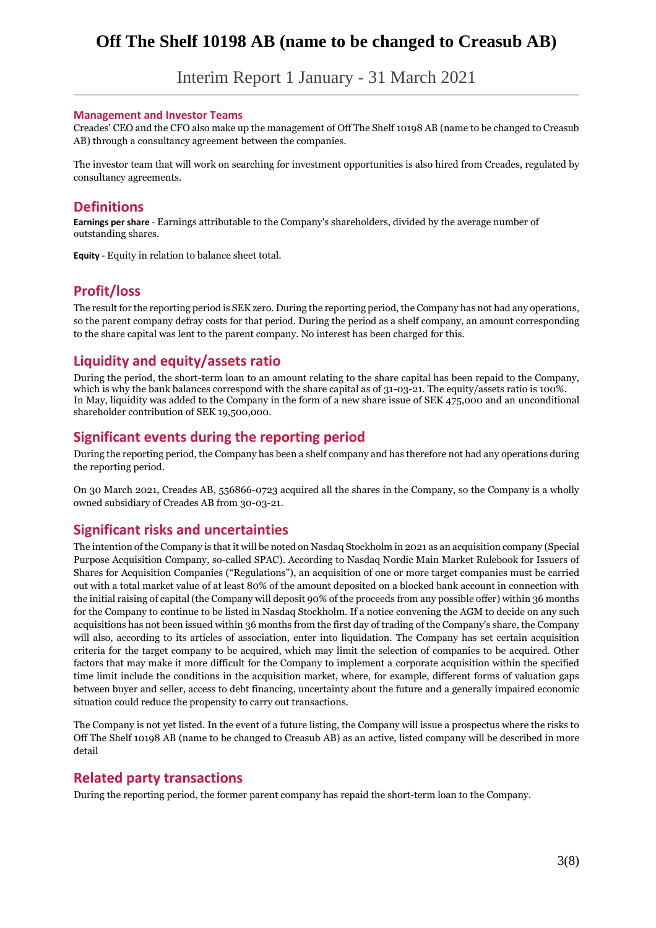Interim Report 1 January - 31 March 2021

#### **Management and Investor Teams**

Creades' CEO and the CFO also make up the management of Off The Shelf 10198 AB (name to be changed to Creasub AB) through a consultancy agreement between the companies.

The investor team that will work on searching for investment opportunities is also hired from Creades, regulated by consultancy agreements.

#### **Definitions**

**Earnings per share** - Earnings attributable to the Company's shareholders, divided by the average number of outstanding shares.

**Equity** - Equity in relation to balance sheet total.

### **Profit/loss**

The result for the reporting period is SEK zero. During the reporting period, the Company has not had any operations, so the parent company defray costs for that period. During the period as a shelf company, an amount corresponding to the share capital was lent to the parent company. No interest has been charged for this.

### **Liquidity and equity/assets ratio**

During the period, the short-term loan to an amount relating to the share capital has been repaid to the Company, which is why the bank balances correspond with the share capital as of 31-03-21. The equity/assets ratio is 100%. In May, liquidity was added to the Company in the form of a new share issue of SEK 475,000 and an unconditional shareholder contribution of SEK 19,500,000.

### **Significant events during the reporting period**

During the reporting period, the Company has been a shelf company and has therefore not had any operations during the reporting period.

On 30 March 2021, Creades AB, 556866-0723 acquired all the shares in the Company, so the Company is a wholly owned subsidiary of Creades AB from 30-03-21.

### **Significant risks and uncertainties**

The intention of the Company is that it will be noted on Nasdaq Stockholm in 2021 as an acquisition company (Special Purpose Acquisition Company, so-called SPAC). According to Nasdaq Nordic Main Market Rulebook for Issuers of Shares for Acquisition Companies ("Regulations"), an acquisition of one or more target companies must be carried out with a total market value of at least 80% of the amount deposited on a blocked bank account in connection with the initial raising of capital (the Company will deposit 90% of the proceeds from any possible offer) within 36 months for the Company to continue to be listed in Nasdaq Stockholm. If a notice convening the AGM to decide on any such acquisitions has not been issued within 36 months from the first day of trading of the Company's share, the Company will also, according to its articles of association, enter into liquidation. The Company has set certain acquisition criteria for the target company to be acquired, which may limit the selection of companies to be acquired. Other factors that may make it more difficult for the Company to implement a corporate acquisition within the specified time limit include the conditions in the acquisition market, where, for example, different forms of valuation gaps between buyer and seller, access to debt financing, uncertainty about the future and a generally impaired economic situation could reduce the propensity to carry out transactions.

The Company is not yet listed. In the event of a future listing, the Company will issue a prospectus where the risks to Off The Shelf 10198 AB (name to be changed to Creasub AB) as an active, listed company will be described in more detail

### **Related party transactions**

During the reporting period, the former parent company has repaid the short-term loan to the Company.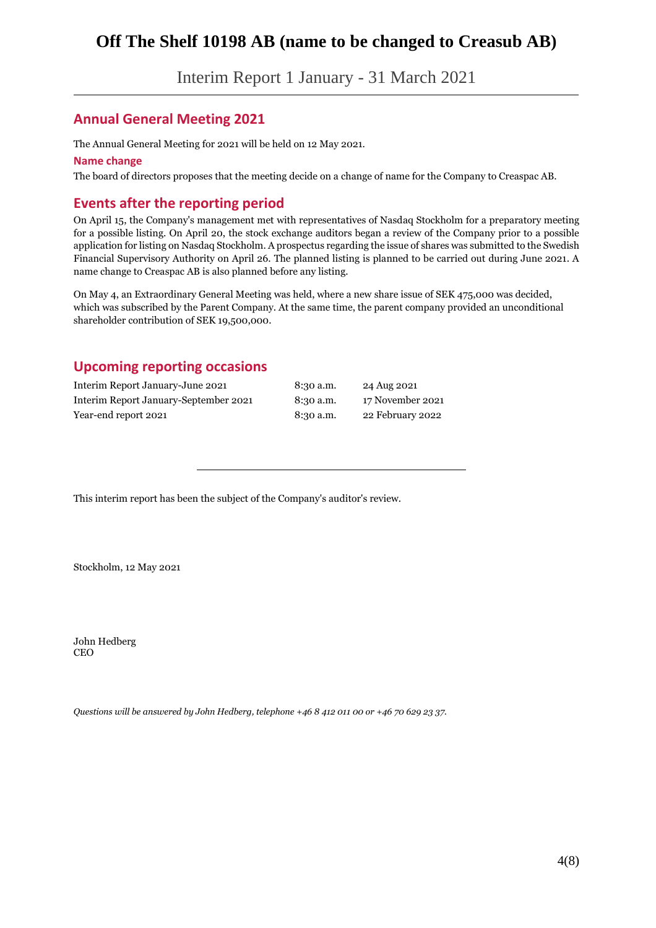Interim Report 1 January - 31 March 2021

## **Annual General Meeting 2021**

The Annual General Meeting for 2021 will be held on 12 May 2021.

#### **Name change**

The board of directors proposes that the meeting decide on a change of name for the Company to Creaspac AB.

### **Events after the reporting period**

On April 15, the Company's management met with representatives of Nasdaq Stockholm for a preparatory meeting for a possible listing. On April 20, the stock exchange auditors began a review of the Company prior to a possible application for listing on Nasdaq Stockholm. A prospectus regarding the issue of shares was submitted to the Swedish Financial Supervisory Authority on April 26. The planned listing is planned to be carried out during June 2021. A name change to Creaspac AB is also planned before any listing.

On May 4, an Extraordinary General Meeting was held, where a new share issue of SEK 475,000 was decided, which was subscribed by the Parent Company. At the same time, the parent company provided an unconditional shareholder contribution of SEK 19,500,000.

## **Upcoming reporting occasions**

| Interim Report January-June 2021      | 8:30 a.m. | 24 Aug 2021      |
|---------------------------------------|-----------|------------------|
| Interim Report January-September 2021 | 8:30 a.m. | 17 November 2021 |
| Year-end report 2021                  | 8:30 a.m. | 22 February 2022 |

This interim report has been the subject of the Company's auditor's review.

Stockholm, 12 May 2021

John Hedberg CEO

*Questions will be answered by John Hedberg, telephone +46 8 412 011 00 or +46 70 629 23 37.*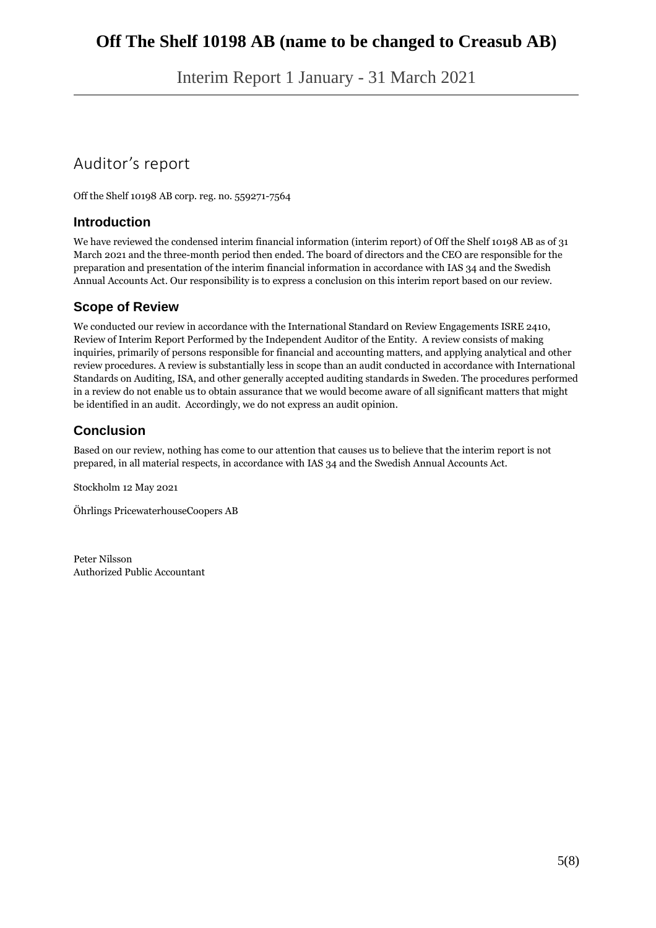Interim Report 1 January - 31 March 2021

# Auditor's report

Off the Shelf 10198 AB corp. reg. no. 559271-7564

### **Introduction**

We have reviewed the condensed interim financial information (interim report) of Off the Shelf 10198 AB as of 31 March 2021 and the three-month period then ended. The board of directors and the CEO are responsible for the preparation and presentation of the interim financial information in accordance with IAS 34 and the Swedish Annual Accounts Act. Our responsibility is to express a conclusion on this interim report based on our review.

### **Scope of Review**

We conducted our review in accordance with the International Standard on Review Engagements ISRE 2410, Review of Interim Report Performed by the Independent Auditor of the Entity. A review consists of making inquiries, primarily of persons responsible for financial and accounting matters, and applying analytical and other review procedures. A review is substantially less in scope than an audit conducted in accordance with International Standards on Auditing, ISA, and other generally accepted auditing standards in Sweden. The procedures performed in a review do not enable us to obtain assurance that we would become aware of all significant matters that might be identified in an audit. Accordingly, we do not express an audit opinion.

## **Conclusion**

Based on our review, nothing has come to our attention that causes us to believe that the interim report is not prepared, in all material respects, in accordance with IAS 34 and the Swedish Annual Accounts Act.

Stockholm 12 May 2021

Öhrlings PricewaterhouseCoopers AB

Peter Nilsson Authorized Public Accountant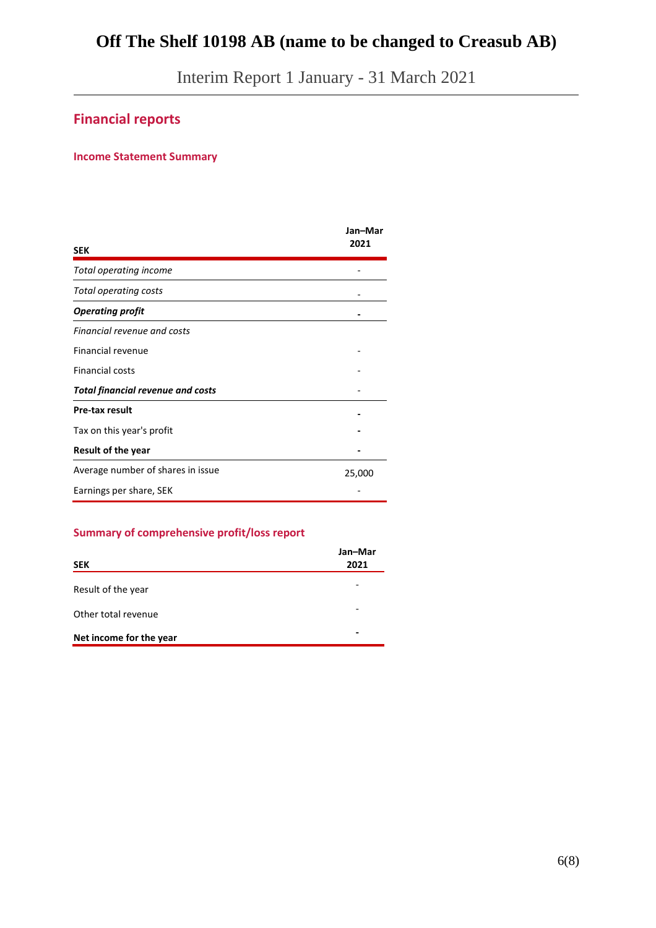Interim Report 1 January - 31 March 2021

# **Financial reports**

#### **Income Statement Summary**

| <b>SEK</b>                               | Jan-Mar<br>2021 |
|------------------------------------------|-----------------|
| Total operating income                   |                 |
| Total operating costs                    |                 |
| <b>Operating profit</b>                  |                 |
| Financial revenue and costs              |                 |
| Financial revenue                        |                 |
| <b>Financial costs</b>                   |                 |
| <b>Total financial revenue and costs</b> |                 |
| <b>Pre-tax result</b>                    |                 |
| Tax on this year's profit                |                 |
| <b>Result of the year</b>                |                 |
| Average number of shares in issue        | 25,000          |
| Earnings per share, SEK                  |                 |

### **Summary of comprehensive profit/loss report**

| <b>SEK</b>              | Jan-Mar<br>2021 |
|-------------------------|-----------------|
| Result of the year      |                 |
| Other total revenue     |                 |
| Net income for the year |                 |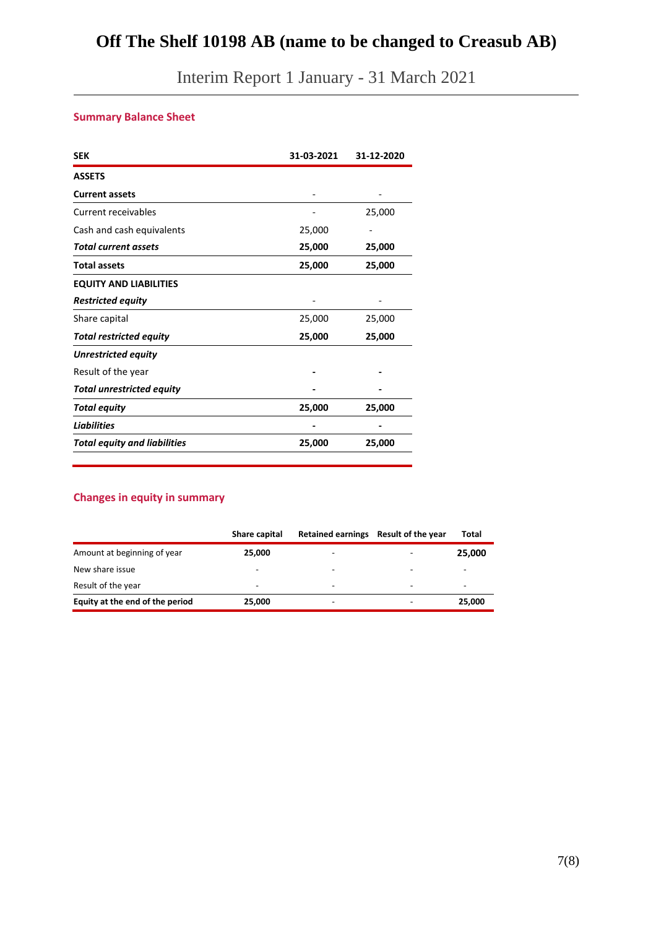Interim Report 1 January - 31 March 2021

# **Summary Balance Sheet**

| <b>SEK</b>                          | 31-03-2021 | 31-12-2020 |
|-------------------------------------|------------|------------|
| <b>ASSETS</b>                       |            |            |
| <b>Current assets</b>               |            |            |
| Current receivables                 |            | 25,000     |
| Cash and cash equivalents           | 25,000     |            |
| <b>Total current assets</b>         | 25,000     | 25,000     |
| <b>Total assets</b>                 | 25,000     | 25,000     |
| <b>EQUITY AND LIABILITIES</b>       |            |            |
| <b>Restricted equity</b>            |            |            |
| Share capital                       | 25,000     | 25,000     |
| <b>Total restricted equity</b>      | 25,000     | 25,000     |
| <b>Unrestricted equity</b>          |            |            |
| Result of the year                  |            |            |
| <b>Total unrestricted equity</b>    |            |            |
| Total equity                        | 25,000     | 25,000     |
| <b>Liabilities</b>                  |            |            |
| <b>Total equity and liabilities</b> | 25,000     | 25,000     |

#### **Changes in equity in summary**

|                                 | Share capital | Retained earnings Result of the year |   | Total                    |
|---------------------------------|---------------|--------------------------------------|---|--------------------------|
| Amount at beginning of year     | 25,000        | $\overline{\phantom{a}}$             |   | 25,000                   |
| New share issue                 | -             | -                                    | ۰ | $\overline{\phantom{a}}$ |
| Result of the year              | -             | $\overline{\phantom{a}}$             | ۰ | -                        |
| Equity at the end of the period | 25,000        | -                                    |   | 25,000                   |